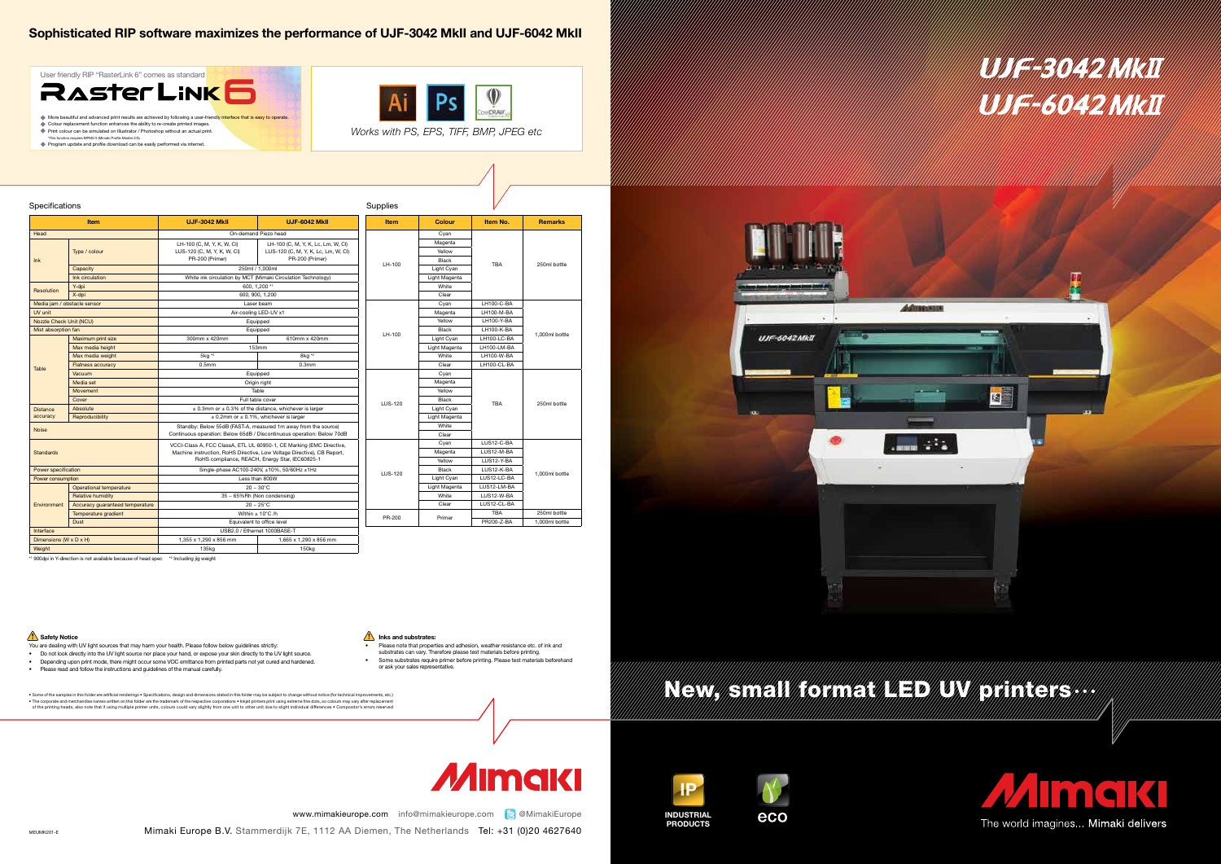SG











MEUMK201-E

# Sophisticated RIP software maximizes the performance of UJF-3042 MkII and UJF-6042 MkII

- You are dealing with UV light sources that may harm your health. Please follow below guidelines strictly:
- Do not look directly into the UV light source nor place your hand, or expose your skin directly to the UV light source.
- Depending upon print mode, there might occur some VOC emittance from printed parts not yet cured and hardened.
- Please read and follow the instructions and guidelines of the manual carefully.

#### $\bigcap$  Inks and substrates:

| Specifications              |                                 |                                                                                                                                                                                                    |                                                                                              |  | Supplies    |               |             |                |
|-----------------------------|---------------------------------|----------------------------------------------------------------------------------------------------------------------------------------------------------------------------------------------------|----------------------------------------------------------------------------------------------|--|-------------|---------------|-------------|----------------|
| Item                        |                                 | <b>UJF-3042 MkII</b>                                                                                                                                                                               | <b>UJF-6042 MkII</b>                                                                         |  | <b>Item</b> | Colour        | Item No.    | <b>Remarks</b> |
| Head                        |                                 | On-demand Piezo head                                                                                                                                                                               |                                                                                              |  |             | Cyan          |             |                |
| lnk                         | Type / colour                   | LH-100 (C, M, Y, K, W, Cl)<br>LUS-120 (C, M, Y, K, W, Cl)                                                                                                                                          | LH-100 (C, M, Y, K, Lc, Lm, W, Cl)<br>LUS-120 (C, M, Y, K, Lc, Lm, W, Cl)<br>PR-200 (Primer) |  |             | Magenta       | <b>TBA</b>  | 250ml bottle   |
|                             |                                 |                                                                                                                                                                                                    |                                                                                              |  | LH-100      | Yellow        |             |                |
|                             |                                 | PR-200 (Primer)                                                                                                                                                                                    |                                                                                              |  |             | Black         |             |                |
|                             | Capacity                        | 250ml / 1.000ml                                                                                                                                                                                    |                                                                                              |  |             | Light Cyan    |             |                |
|                             | Ink circulation                 | White ink circulation by MCT (Mimaki Circulation Technology)                                                                                                                                       |                                                                                              |  |             | Light Magenta |             |                |
| Resolution                  | Y-dpi                           |                                                                                                                                                                                                    | 600. 1.200 *1                                                                                |  |             | White         |             |                |
|                             | X-dpi                           |                                                                                                                                                                                                    | 600, 900, 1,200                                                                              |  |             | Clear         |             |                |
| Media jam / obstacle sensor |                                 | Laser beam                                                                                                                                                                                         |                                                                                              |  |             | Cvan          | LH100-C-BA  |                |
| UV unit                     |                                 | Air-cooling LED-UV x1                                                                                                                                                                              |                                                                                              |  | LH-100      | Magenta       | LH100-M-BA  |                |
| Nozzle Check Unit (NCU)     |                                 | Equipped                                                                                                                                                                                           |                                                                                              |  |             | Yellow        | LH100-Y-BA  |                |
| Mist absorption fan         |                                 | Equipped                                                                                                                                                                                           |                                                                                              |  |             | <b>Black</b>  | LH100-K-BA  |                |
| Table                       | Maximum print size              | 300mm x 420mm                                                                                                                                                                                      | 610mm x 420mm                                                                                |  |             | Light Cyan    | LH100-LC-BA | 1.000ml bottle |
|                             | Max media height                |                                                                                                                                                                                                    | 153mm                                                                                        |  |             | Light Magenta | LH100-LM-BA |                |
|                             | Max media weight                | 5kg *2                                                                                                                                                                                             | 8kg *2                                                                                       |  |             | White         | LH100-W-BA  |                |
|                             | <b>Flatness accuracy</b>        | 0.5 <sub>mm</sub>                                                                                                                                                                                  | 0.3 <sub>mm</sub>                                                                            |  | Clear       | LH100-CL-BA   |             |                |
|                             | Vacuum                          |                                                                                                                                                                                                    | Equipped                                                                                     |  |             | Cyan          | <b>TBA</b>  | 250ml bottle   |
|                             | Media set                       | Origin right                                                                                                                                                                                       |                                                                                              |  | LUS-120     | Magenta       |             |                |
|                             | Movement                        | Table                                                                                                                                                                                              |                                                                                              |  |             | Yellow        |             |                |
|                             | Cover                           | Full table cover                                                                                                                                                                                   |                                                                                              |  |             | Black         |             |                |
| <b>Distance</b>             | Absolute                        |                                                                                                                                                                                                    | $\pm$ 0.3mm or $\pm$ 0.3% of the distance, whichever is larger                               |  | Light Cyan  |               |             |                |
| accuracy                    | Reproducibility                 |                                                                                                                                                                                                    | $\pm$ 0.2mm or $\pm$ 0.1%, whichever is larger                                               |  |             | Light Magenta |             |                |
|                             |                                 | Standby: Below 55dB (FAST-A, measured 1m away from the source)                                                                                                                                     |                                                                                              |  |             | White         |             |                |
| <b>Noise</b>                |                                 | Continuous operation: Below 65dB / Discontinuous operation: Below 70dB                                                                                                                             |                                                                                              |  |             | Clear         |             |                |
| <b>Standards</b>            |                                 | VCCI-Class A, FCC ClassA, ETL UL 60950-1, CE Marking (EMC Directive,<br>Machine instruction, RoHS Directive, Low Voltage Directive), CB Report,<br>RoHS compliance, REACH, Energy Star, IEC60825-1 |                                                                                              |  | LUS-120     | Cyan          | LUS12-C-BA  | 1.000ml bottle |
|                             |                                 |                                                                                                                                                                                                    |                                                                                              |  |             | Magenta       | LUS12-M-BA  |                |
|                             |                                 |                                                                                                                                                                                                    |                                                                                              |  |             | Yellow        | LUS12-Y-BA  |                |
| Power specification         |                                 | Single-phase AC100-240V, ±10%, 50/60Hz ±1Hz                                                                                                                                                        |                                                                                              |  |             | <b>Black</b>  | LUS12-K-BA  |                |
| Power consumption           |                                 | Less than 800W                                                                                                                                                                                     |                                                                                              |  |             | Light Cyan    | LUS12-LC-BA |                |
| Environment                 | Operational temperature         | $20 - 30^{\circ}$ C                                                                                                                                                                                |                                                                                              |  |             | Light Magenta | LUS12-LM-BA |                |
|                             | <b>Relative humidity</b>        | 35 ~ 65%Rh (Non condensing)                                                                                                                                                                        |                                                                                              |  |             | White         | LUS12-W-BA  |                |
|                             | Accuracy quaranteed temperature | $20 - 25^{\circ}$ C                                                                                                                                                                                |                                                                                              |  |             | Clear         | LUS12-CL-BA |                |
|                             | Temperature gradient            | Within $\pm$ 10°C /h                                                                                                                                                                               |                                                                                              |  | PR-200      | Primer        | <b>TBA</b>  | 250ml bottle   |
|                             | Dust                            | Equivalent to office level                                                                                                                                                                         |                                                                                              |  |             |               | PR200-Z-BA  | 1.000ml bottle |
| Interface                   |                                 | USB2.0 / Ethernet 1000BASE-T                                                                                                                                                                       |                                                                                              |  |             |               |             |                |
| Dimensions (W x D x H)      |                                 | 1,355 x 1,290 x 856 mm                                                                                                                                                                             | 1,665 x 1,290 x 856 mm                                                                       |  |             |               |             |                |
| Weight                      |                                 | 135kg                                                                                                                                                                                              | 150 <sub>kg</sub>                                                                            |  |             |               |             |                |

• Some of the samples in this folder are artificial renderings • Specifications, design and dimensions stated in this folder may be subject to change without notice (for technical improvements, etc.)<br>• The corporate and m of the printing heads, also note that if using multiple printer units, colours could vary slightly from one unit to other unit due to slight individual differences • Compositor's errors reserved

# *Mımakl*



\*This function requires MPM2/3 (Mimaki Profile Master 2/3). Program update and profile download can be easily performed via internet.



• Please note that properties and adhesion, weather resistance etc. of ink and substrates can vary. Therefore please test materials before printing. • Some substrates require primer before printing. Please test materials beforehand or ask your sales representative.



### Safety Notice

*Works with PS, EPS, TIFF, BMP, JPEG etc*